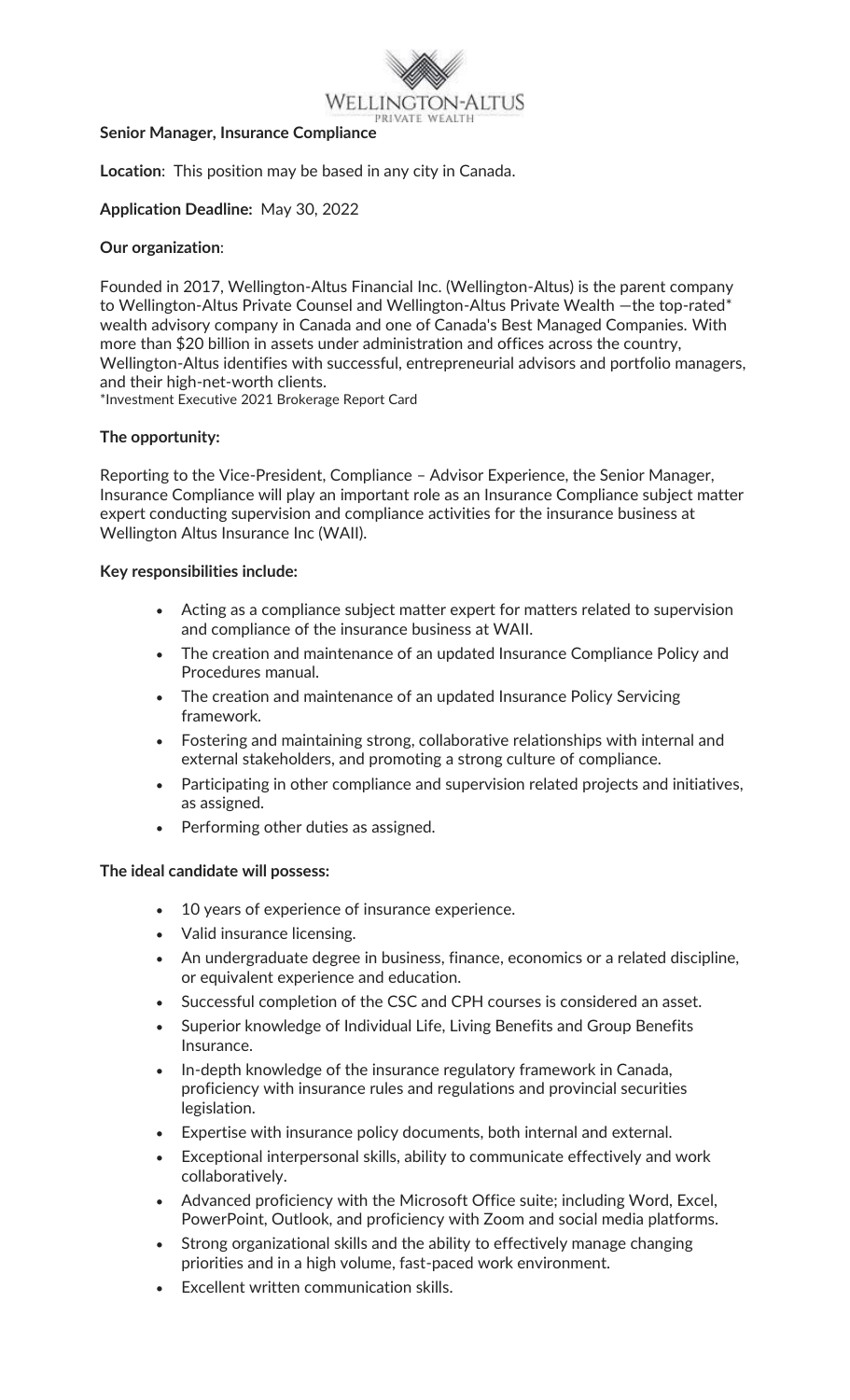

#### **Senior Manager, Insurance Compliance**

**Location**: This position may be based in any city in Canada.

### **Application Deadline:** May 30, 2022

### **Our organization**:

Founded in 2017, Wellington-Altus Financial Inc. (Wellington-Altus) is the parent company to Wellington-Altus Private Counsel and Wellington-Altus Private Wealth —the top-rated\* wealth advisory company in Canada and one of Canada's Best Managed Companies. With more than \$20 billion in assets under administration and offices across the country, Wellington-Altus identifies with successful, entrepreneurial advisors and portfolio managers, and their high-net-worth clients.

\*Investment Executive 2021 Brokerage Report Card

### **The opportunity:**

Reporting to the Vice-President, Compliance – Advisor Experience, the Senior Manager, Insurance Compliance will play an important role as an Insurance Compliance subject matter expert conducting supervision and compliance activities for the insurance business at Wellington Altus Insurance Inc (WAII).

## **Key responsibilities include:**

- Acting as a compliance subject matter expert for matters related to supervision and compliance of the insurance business at WAII.
- The creation and maintenance of an updated Insurance Compliance Policy and Procedures manual.
- The creation and maintenance of an updated Insurance Policy Servicing framework.
- Fostering and maintaining strong, collaborative relationships with internal and external stakeholders, and promoting a strong culture of compliance.
- Participating in other compliance and supervision related projects and initiatives, as assigned.
- Performing other duties as assigned.

### **The ideal candidate will possess:**

- 10 years of experience of insurance experience.
- Valid insurance licensing.
- An undergraduate degree in business, finance, economics or a related discipline, or equivalent experience and education.
- Successful completion of the CSC and CPH courses is considered an asset.
- Superior knowledge of Individual Life, Living Benefits and Group Benefits Insurance.
- In-depth knowledge of the insurance regulatory framework in Canada, proficiency with insurance rules and regulations and provincial securities legislation.
- Expertise with insurance policy documents, both internal and external.
- Exceptional interpersonal skills, ability to communicate effectively and work collaboratively.
- Advanced proficiency with the Microsoft Office suite; including Word, Excel, PowerPoint, Outlook, and proficiency with Zoom and social media platforms.
- Strong organizational skills and the ability to effectively manage changing priorities and in a high volume, fast-paced work environment.
- Excellent written communication skills.